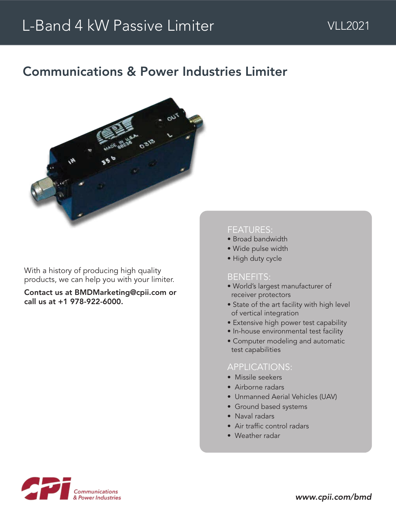# Communications & Power Industries Limiter



With a history of producing high quality products, we can help you with your limiter.

Contact us at BMDMarketing@cpii.com or call us at +1 978-922-6000.

#### FEATURES:

- Broad bandwidth
- Wide pulse width
- High duty cycle

#### BENEFITS:

- World's largest manufacturer of receiver protectors
- State of the art facility with high level of vertical integration
- Extensive high power test capability
- In-house environmental test facility
- Computer modeling and automatic test capabilities

## APPLICATIONS:

- Missile seekers
- Airborne radars
- Unmanned Aerial Vehicles (UAV)
- Ground based systems
- Naval radars
- Air traffic control radars
- Weather radar